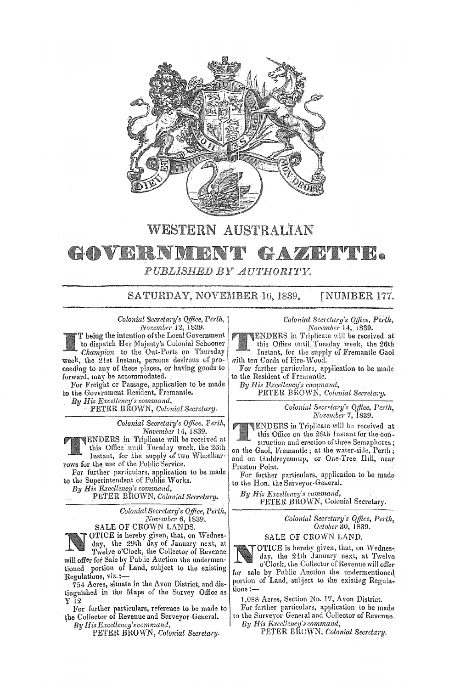

# WESTERN AUSTRALIAN GOVERNMENT GAZETTE.

PUBLISHED BY AUTHORITY.

SATURDAY, NOVEMBER 16, 1839. **[NUMBER 177.** 

*Colonial Secretary's Office, Perth,* November 12, 1839.

T being the intention of the Local Government to dispatch Her Majesty's Colonial Schooner *Champion* to the Out-Ports on Thursday week, the 2lst Instant, persons desirous of proceeding to any of these places, or having goods to forward. may be accommodated.

For Freight or Passage, application to be made to the Government Resident, Fremantle.

By His Excellency's command,

PETER BROWN, Colonial Secretary.

*Colonial Secretary's Office, Ferth, November* 14, 1839.

ENDERS in Triplicate will be received at this Office until Tuesday week, the 26th Instant, for the supply of two Wheelbarrows for the use of the Public Service.

For further particulars. application to be made to the Superintendent of Public Works.

*By His Excellency's command,* 

PETER BROWN, Colonial Secretary.

*Colonial Secretary's Office, Perth, November* 6, 1839.

SALE OF CROWN LANDS. OTICE is hereby given, that, on Wednesday, the 29th day of January next, at Twelve o'Clock, the Collector of Revenue will offer for Sale by Public Auction the undermentioned portion of Land, subject to the existing Regulations, **viz.:-**

754 Acres, situate in the Avon District, and distinguished in the Maps of the Survey Office as y (2

For further particulars, reference to be made to the Collector of Revenue and Surveyor-General.

*By* fI *is Excellency's command,* 

PETER BROWN, *Colonial Secretary.* 

*Colonial Secretary's Ojfice. Pertlt, November* 14, 1839.

ENDERS in Triplicate will be received at this Office until Tuesday week, the 26th for the supply Fremantle Gaol with ten Cords of Fire-Wood.

For further particulars, application to be made to the Resident of Fremantle.

*By His* 

PETER BROWN, Colonial Secretary.

*Colonial Secretary's Qtfice, Perlh, November* 7, 1839.

ENDERS in Triplicate will be received at this Office on the 28th Instant for the construction and erection of three Semaphores; on the Gaol, Fremantle; at the water-side, Perth; and on Gaddreyeunup, or One-Tree Hill, near Preston Point.

For further particulars, application to be made to the Hon. the Surveyor-General.

By His Excellency's command, PETER BROWN, Colonial Secretary.

> *Colonial Sec/'ciary"s QlJice, Perth, Odobe/'* 30, 1839.

#### SALE OF CROWN LAND.

OTICE is hereby given, that, on Wednesday, the 24th January next, at Twelve o'Cloek, the Collector of Revenue will offer for sale by Public Auction the undermentioned portion of Land, subject to the existing Regulations:-

1,058 Acres, Section No. 17, Avon District.

For further particulars. application to be made to the Surveyor General and Collector of Revenue,

By His Excellency's command,

PETER BŘOWN, Colonial Secretary.